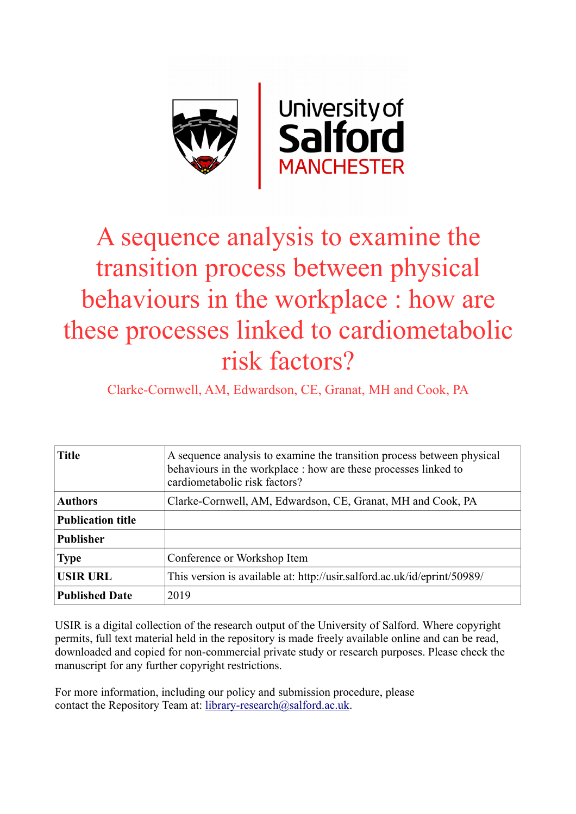

## A sequence analysis to examine the transition process between physical behaviours in the workplace : how are these processes linked to cardiometabolic risk factors?

Clarke-Cornwell, AM, Edwardson, CE, Granat, MH and Cook, PA

| <b>Title</b>             | A sequence analysis to examine the transition process between physical<br>behaviours in the workplace : how are these processes linked to<br>cardiometabolic risk factors? |
|--------------------------|----------------------------------------------------------------------------------------------------------------------------------------------------------------------------|
| <b>Authors</b>           | Clarke-Cornwell, AM, Edwardson, CE, Granat, MH and Cook, PA                                                                                                                |
| <b>Publication title</b> |                                                                                                                                                                            |
| <b>Publisher</b>         |                                                                                                                                                                            |
| <b>Type</b>              | Conference or Workshop Item                                                                                                                                                |
| <b>USIR URL</b>          | This version is available at: http://usir.salford.ac.uk/id/eprint/50989/                                                                                                   |
| <b>Published Date</b>    | 2019                                                                                                                                                                       |

USIR is a digital collection of the research output of the University of Salford. Where copyright permits, full text material held in the repository is made freely available online and can be read, downloaded and copied for non-commercial private study or research purposes. Please check the manuscript for any further copyright restrictions.

For more information, including our policy and submission procedure, please contact the Repository Team at: [library-research@salford.ac.uk.](mailto:library-research@salford.ac.uk)